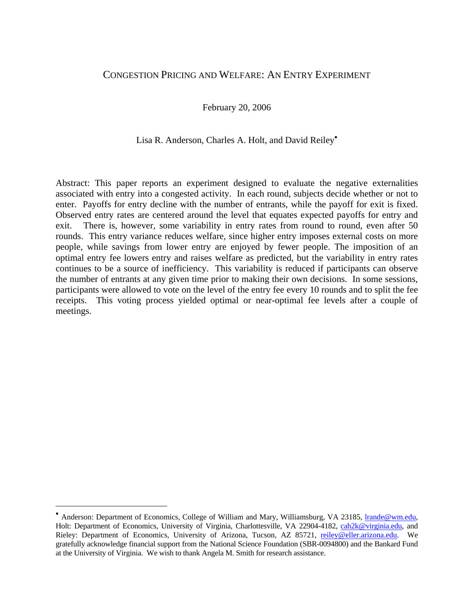# CONGESTION PRICING AND WELFARE: AN ENTRY EXPERIMENT

February 20, 2006

## Lisa R. Anderson, Charles A. Holt, and David Reiley<sup>•</sup>

Abstract: This paper reports an experiment designed to evaluate the negative externalities associated with entry into a congested activity. In each round, subjects decide whether or not to enter. Payoffs for entry decline with the number of entrants, while the payoff for exit is fixed. Observed entry rates are centered around the level that equates expected payoffs for entry and exit. There is, however, some variability in entry rates from round to round, even after 50 rounds. This entry variance reduces welfare, since higher entry imposes external costs on more people, while savings from lower entry are enjoyed by fewer people. The imposition of an optimal entry fee lowers entry and raises welfare as predicted, but the variability in entry rates continues to be a source of inefficiency. This variability is reduced if participants can observe the number of entrants at any given time prior to making their own decisions. In some sessions, participants were allowed to vote on the level of the entry fee every 10 rounds and to split the fee receipts. This voting process yielded optimal or near-optimal fee levels after a couple of meetings.

 $\overline{a}$ 

<sup>•</sup> Anderson: Department of Economics, College of William and Mary, Williamsburg, VA 23185, lrande@wm.edu, Holt: Department of Economics, University of Virginia, Charlottesville, VA 22904-4182, cah2k@virginia.edu, and Rieley: Department of Economics, University of Arizona, Tucson, AZ 85721, reiley@eller.arizona.edu. We gratefully acknowledge financial support from the National Science Foundation (SBR-0094800) and the Bankard Fund at the University of Virginia. We wish to thank Angela M. Smith for research assistance.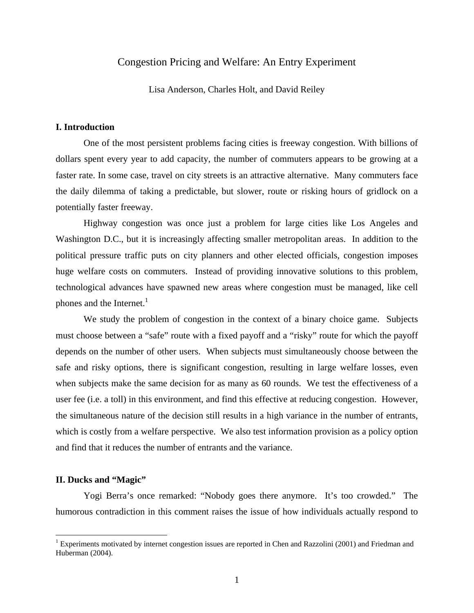## Congestion Pricing and Welfare: An Entry Experiment

Lisa Anderson, Charles Holt, and David Reiley

#### **I. Introduction**

 One of the most persistent problems facing cities is freeway congestion. With billions of dollars spent every year to add capacity, the number of commuters appears to be growing at a faster rate. In some case, travel on city streets is an attractive alternative. Many commuters face the daily dilemma of taking a predictable, but slower, route or risking hours of gridlock on a potentially faster freeway.

 Highway congestion was once just a problem for large cities like Los Angeles and Washington D.C., but it is increasingly affecting smaller metropolitan areas. In addition to the political pressure traffic puts on city planners and other elected officials, congestion imposes huge welfare costs on commuters. Instead of providing innovative solutions to this problem, technological advances have spawned new areas where congestion must be managed, like cell phones and the Internet. $<sup>1</sup>$ </sup>

 We study the problem of congestion in the context of a binary choice game. Subjects must choose between a "safe" route with a fixed payoff and a "risky" route for which the payoff depends on the number of other users. When subjects must simultaneously choose between the safe and risky options, there is significant congestion, resulting in large welfare losses, even when subjects make the same decision for as many as 60 rounds. We test the effectiveness of a user fee (i.e. a toll) in this environment, and find this effective at reducing congestion. However, the simultaneous nature of the decision still results in a high variance in the number of entrants, which is costly from a welfare perspective. We also test information provision as a policy option and find that it reduces the number of entrants and the variance.

#### **II. Ducks and "Magic"**

 $\overline{a}$ 

 Yogi Berra's once remarked: "Nobody goes there anymore. It's too crowded." The humorous contradiction in this comment raises the issue of how individuals actually respond to

<sup>&</sup>lt;sup>1</sup> Experiments motivated by internet congestion issues are reported in Chen and Razzolini (2001) and Friedman and Huberman (2004).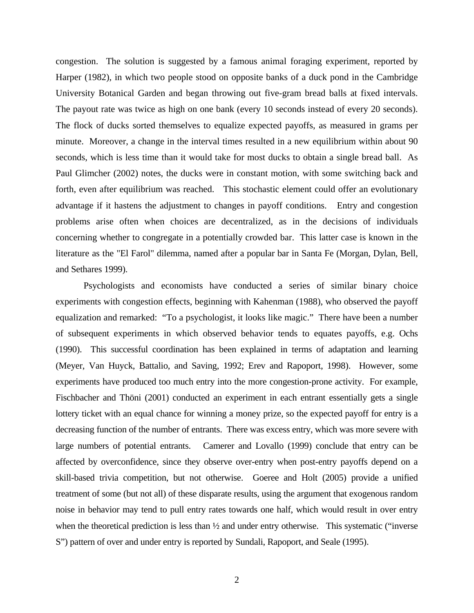congestion. The solution is suggested by a famous animal foraging experiment, reported by Harper (1982), in which two people stood on opposite banks of a duck pond in the Cambridge University Botanical Garden and began throwing out five-gram bread balls at fixed intervals. The payout rate was twice as high on one bank (every 10 seconds instead of every 20 seconds). The flock of ducks sorted themselves to equalize expected payoffs, as measured in grams per minute. Moreover, a change in the interval times resulted in a new equilibrium within about 90 seconds, which is less time than it would take for most ducks to obtain a single bread ball. As Paul Glimcher (2002) notes, the ducks were in constant motion, with some switching back and forth, even after equilibrium was reached. This stochastic element could offer an evolutionary advantage if it hastens the adjustment to changes in payoff conditions. Entry and congestion problems arise often when choices are decentralized, as in the decisions of individuals concerning whether to congregate in a potentially crowded bar. This latter case is known in the literature as the "El Farol" dilemma, named after a popular bar in Santa Fe (Morgan, Dylan, Bell, and Sethares 1999).

Psychologists and economists have conducted a series of similar binary choice experiments with congestion effects, beginning with Kahenman (1988), who observed the payoff equalization and remarked: "To a psychologist, it looks like magic." There have been a number of subsequent experiments in which observed behavior tends to equates payoffs, e.g. Ochs (1990). This successful coordination has been explained in terms of adaptation and learning (Meyer, Van Huyck, Battalio, and Saving, 1992; Erev and Rapoport, 1998). However, some experiments have produced too much entry into the more congestion-prone activity. For example, Fischbacher and Thöni (2001) conducted an experiment in each entrant essentially gets a single lottery ticket with an equal chance for winning a money prize, so the expected payoff for entry is a decreasing function of the number of entrants. There was excess entry, which was more severe with large numbers of potential entrants. Camerer and Lovallo (1999) conclude that entry can be affected by overconfidence, since they observe over-entry when post-entry payoffs depend on a skill-based trivia competition, but not otherwise. Goeree and Holt (2005) provide a unified treatment of some (but not all) of these disparate results, using the argument that exogenous random noise in behavior may tend to pull entry rates towards one half, which would result in over entry when the theoretical prediction is less than  $\frac{1}{2}$  and under entry otherwise. This systematic ("inverse") S") pattern of over and under entry is reported by Sundali, Rapoport, and Seale (1995).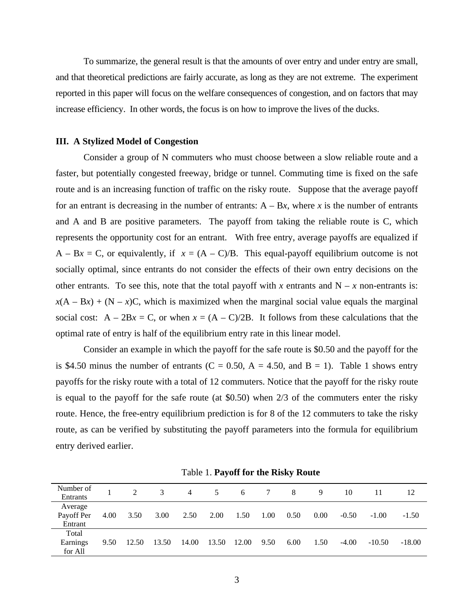To summarize, the general result is that the amounts of over entry and under entry are small, and that theoretical predictions are fairly accurate, as long as they are not extreme. The experiment reported in this paper will focus on the welfare consequences of congestion, and on factors that may increase efficiency. In other words, the focus is on how to improve the lives of the ducks.

#### **III. A Stylized Model of Congestion**

Consider a group of N commuters who must choose between a slow reliable route and a faster, but potentially congested freeway, bridge or tunnel. Commuting time is fixed on the safe route and is an increasing function of traffic on the risky route. Suppose that the average payoff for an entrant is decreasing in the number of entrants:  $A - Bx$ , where *x* is the number of entrants and A and B are positive parameters. The payoff from taking the reliable route is C, which represents the opportunity cost for an entrant. With free entry, average payoffs are equalized if  $A - Bx = C$ , or equivalently, if  $x = (A - C)/B$ . This equal-payoff equilibrium outcome is not socially optimal, since entrants do not consider the effects of their own entry decisions on the other entrants. To see this, note that the total payoff with *x* entrants and  $N - x$  non-entrants is:  $x(A - Bx) + (N - x)C$ , which is maximized when the marginal social value equals the marginal social cost:  $A - 2Bx = C$ , or when  $x = (A - C)/2B$ . It follows from these calculations that the optimal rate of entry is half of the equilibrium entry rate in this linear model.

Consider an example in which the payoff for the safe route is \$0.50 and the payoff for the is \$4.50 minus the number of entrants (C = 0.50, A = 4.50, and B = 1). Table 1 shows entry payoffs for the risky route with a total of 12 commuters. Notice that the payoff for the risky route is equal to the payoff for the safe route (at \$0.50) when 2/3 of the commuters enter the risky route. Hence, the free-entry equilibrium prediction is for 8 of the 12 commuters to take the risky route, as can be verified by substituting the payoff parameters into the formula for equilibrium entry derived earlier.

| Number of<br>Entrants            |      | $2^{\circ}$ | 3     | 4     | 5     | 6     | 7    | 8    | 9    | 10      |          | 12       |
|----------------------------------|------|-------------|-------|-------|-------|-------|------|------|------|---------|----------|----------|
| Average<br>Payoff Per<br>Entrant | 4.00 | 3.50        | 3.00  | 2.50  | 2.00  | 1.50  | 1.00 | 0.50 | 0.00 | $-0.50$ | $-1.00$  | $-1.50$  |
| Total<br>Earnings<br>for All     | 9.50 | 12.50       | 13.50 | 14.00 | 13.50 | 12.00 | 9.50 | 6.00 | 1.50 | $-4.00$ | $-10.50$ | $-18.00$ |

Table 1. **Payoff for the Risky Route**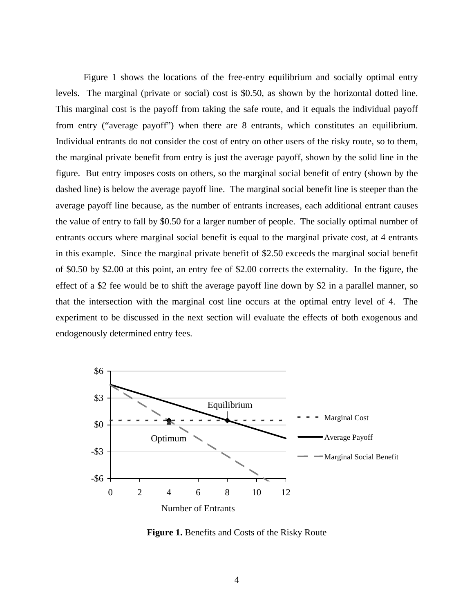Figure 1 shows the locations of the free-entry equilibrium and socially optimal entry levels. The marginal (private or social) cost is \$0.50, as shown by the horizontal dotted line. This marginal cost is the payoff from taking the safe route, and it equals the individual payoff from entry ("average payoff") when there are 8 entrants, which constitutes an equilibrium. Individual entrants do not consider the cost of entry on other users of the risky route, so to them, the marginal private benefit from entry is just the average payoff, shown by the solid line in the figure. But entry imposes costs on others, so the marginal social benefit of entry (shown by the dashed line) is below the average payoff line. The marginal social benefit line is steeper than the average payoff line because, as the number of entrants increases, each additional entrant causes the value of entry to fall by \$0.50 for a larger number of people. The socially optimal number of entrants occurs where marginal social benefit is equal to the marginal private cost, at 4 entrants in this example. Since the marginal private benefit of \$2.50 exceeds the marginal social benefit of \$0.50 by \$2.00 at this point, an entry fee of \$2.00 corrects the externality. In the figure, the effect of a \$2 fee would be to shift the average payoff line down by \$2 in a parallel manner, so that the intersection with the marginal cost line occurs at the optimal entry level of 4. The experiment to be discussed in the next section will evaluate the effects of both exogenous and endogenously determined entry fees.



**Figure 1.** Benefits and Costs of the Risky Route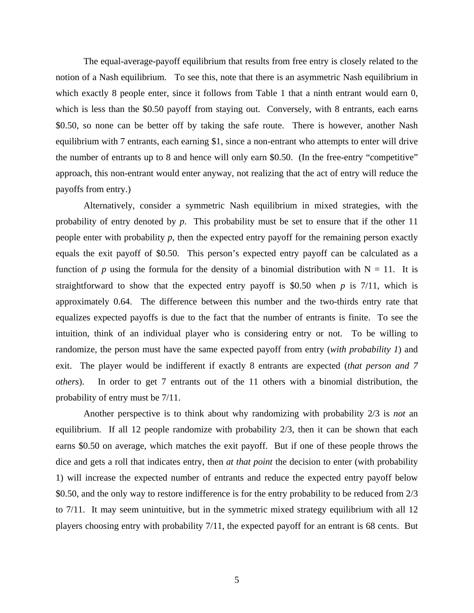The equal-average-payoff equilibrium that results from free entry is closely related to the notion of a Nash equilibrium. To see this, note that there is an asymmetric Nash equilibrium in which exactly 8 people enter, since it follows from Table 1 that a ninth entrant would earn 0, which is less than the \$0.50 payoff from staying out. Conversely, with 8 entrants, each earns \$0.50, so none can be better off by taking the safe route. There is however, another Nash equilibrium with 7 entrants, each earning \$1, since a non-entrant who attempts to enter will drive the number of entrants up to 8 and hence will only earn \$0.50. (In the free-entry "competitive" approach, this non-entrant would enter anyway, not realizing that the act of entry will reduce the payoffs from entry.)

Alternatively, consider a symmetric Nash equilibrium in mixed strategies, with the probability of entry denoted by *p*. This probability must be set to ensure that if the other 11 people enter with probability *p*, then the expected entry payoff for the remaining person exactly equals the exit payoff of \$0.50. This person's expected entry payoff can be calculated as a function of *p* using the formula for the density of a binomial distribution with  $N = 11$ . It is straightforward to show that the expected entry payoff is \$0.50 when  $p$  is 7/11, which is approximately 0.64. The difference between this number and the two-thirds entry rate that equalizes expected payoffs is due to the fact that the number of entrants is finite. To see the intuition, think of an individual player who is considering entry or not. To be willing to randomize, the person must have the same expected payoff from entry (*with probability 1*) and exit. The player would be indifferent if exactly 8 entrants are expected (*that person and 7 others*). In order to get 7 entrants out of the 11 others with a binomial distribution, the probability of entry must be 7/11.

Another perspective is to think about why randomizing with probability 2/3 is *not* an equilibrium. If all 12 people randomize with probability 2/3, then it can be shown that each earns \$0.50 on average, which matches the exit payoff. But if one of these people throws the dice and gets a roll that indicates entry, then *at that point* the decision to enter (with probability 1) will increase the expected number of entrants and reduce the expected entry payoff below \$0.50, and the only way to restore indifference is for the entry probability to be reduced from  $2/3$ to 7/11. It may seem unintuitive, but in the symmetric mixed strategy equilibrium with all 12 players choosing entry with probability 7/11, the expected payoff for an entrant is 68 cents. But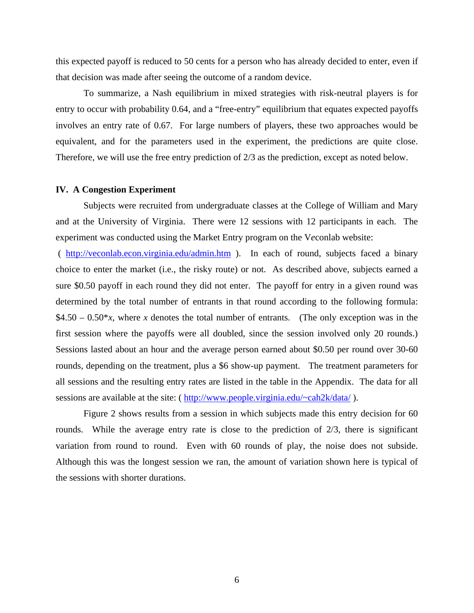this expected payoff is reduced to 50 cents for a person who has already decided to enter, even if that decision was made after seeing the outcome of a random device.

To summarize, a Nash equilibrium in mixed strategies with risk-neutral players is for entry to occur with probability 0.64, and a "free-entry" equilibrium that equates expected payoffs involves an entry rate of 0.67. For large numbers of players, these two approaches would be equivalent, and for the parameters used in the experiment, the predictions are quite close. Therefore, we will use the free entry prediction of 2/3 as the prediction, except as noted below.

#### **IV. A Congestion Experiment**

 Subjects were recruited from undergraduate classes at the College of William and Mary and at the University of Virginia. There were 12 sessions with 12 participants in each. The experiment was conducted using the Market Entry program on the V*e*conlab website:

 ( http://veconlab.econ.virginia.edu/admin.htm ). In each of round, subjects faced a binary choice to enter the market (i.e., the risky route) or not. As described above, subjects earned a sure \$0.50 payoff in each round they did not enter. The payoff for entry in a given round was determined by the total number of entrants in that round according to the following formula:  $$4.50 - 0.50*x$ , where *x* denotes the total number of entrants. (The only exception was in the first session where the payoffs were all doubled, since the session involved only 20 rounds.) Sessions lasted about an hour and the average person earned about \$0.50 per round over 30-60 rounds, depending on the treatment, plus a \$6 show-up payment. The treatment parameters for all sessions and the resulting entry rates are listed in the table in the Appendix. The data for all sessions are available at the site: ( http://www.people.virginia.edu/~cah2k/data/ ).

 Figure 2 shows results from a session in which subjects made this entry decision for 60 rounds. While the average entry rate is close to the prediction of 2/3, there is significant variation from round to round. Even with 60 rounds of play, the noise does not subside. Although this was the longest session we ran, the amount of variation shown here is typical of the sessions with shorter durations.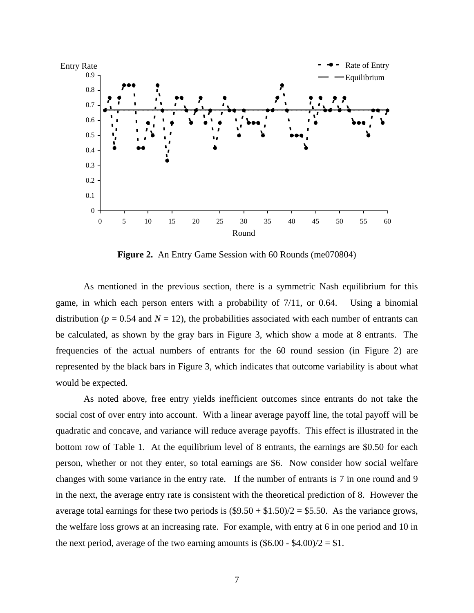

**Figure 2.** An Entry Game Session with 60 Rounds (me070804)

 As mentioned in the previous section, there is a symmetric Nash equilibrium for this game, in which each person enters with a probability of 7/11, or 0.64. Using a binomial distribution ( $p = 0.54$  and  $N = 12$ ), the probabilities associated with each number of entrants can be calculated, as shown by the gray bars in Figure 3, which show a mode at 8 entrants. The frequencies of the actual numbers of entrants for the 60 round session (in Figure 2) are represented by the black bars in Figure 3, which indicates that outcome variability is about what would be expected.

 As noted above, free entry yields inefficient outcomes since entrants do not take the social cost of over entry into account. With a linear average payoff line, the total payoff will be quadratic and concave, and variance will reduce average payoffs. This effect is illustrated in the bottom row of Table 1. At the equilibrium level of 8 entrants, the earnings are \$0.50 for each person, whether or not they enter, so total earnings are \$6. Now consider how social welfare changes with some variance in the entry rate. If the number of entrants is 7 in one round and 9 in the next, the average entry rate is consistent with the theoretical prediction of 8. However the average total earnings for these two periods is  $(\$9.50 + \$1.50)/2 = \$5.50$ . As the variance grows, the welfare loss grows at an increasing rate. For example, with entry at 6 in one period and 10 in the next period, average of the two earning amounts is  $(\$6.00 - \$4.00)/2 = \$1$ .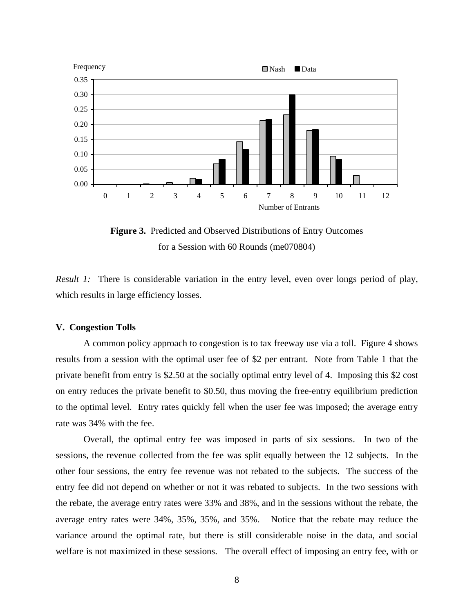

**Figure 3.** Predicted and Observed Distributions of Entry Outcomes for a Session with 60 Rounds (me070804)

*Result 1:* There is considerable variation in the entry level, even over longs period of play, which results in large efficiency losses.

#### **V. Congestion Tolls**

 A common policy approach to congestion is to tax freeway use via a toll. Figure 4 shows results from a session with the optimal user fee of \$2 per entrant. Note from Table 1 that the private benefit from entry is \$2.50 at the socially optimal entry level of 4. Imposing this \$2 cost on entry reduces the private benefit to \$0.50, thus moving the free-entry equilibrium prediction to the optimal level. Entry rates quickly fell when the user fee was imposed; the average entry rate was 34% with the fee.

 Overall, the optimal entry fee was imposed in parts of six sessions. In two of the sessions, the revenue collected from the fee was split equally between the 12 subjects. In the other four sessions, the entry fee revenue was not rebated to the subjects. The success of the entry fee did not depend on whether or not it was rebated to subjects. In the two sessions with the rebate, the average entry rates were 33% and 38%, and in the sessions without the rebate, the average entry rates were 34%, 35%, 35%, and 35%. Notice that the rebate may reduce the variance around the optimal rate, but there is still considerable noise in the data, and social welfare is not maximized in these sessions. The overall effect of imposing an entry fee, with or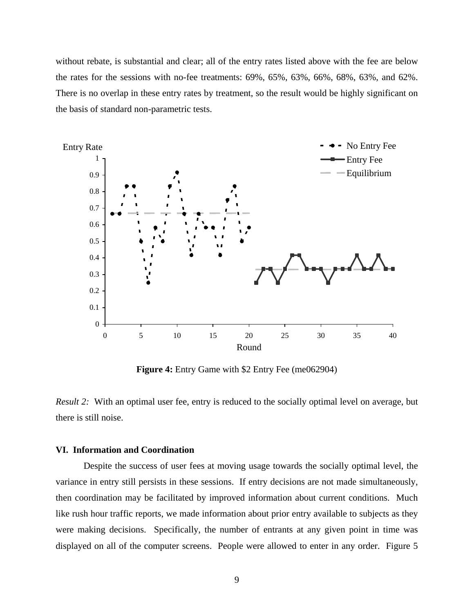without rebate, is substantial and clear; all of the entry rates listed above with the fee are below the rates for the sessions with no-fee treatments: 69%, 65%, 63%, 66%, 68%, 63%, and 62%. There is no overlap in these entry rates by treatment, so the result would be highly significant on the basis of standard non-parametric tests.



**Figure 4:** Entry Game with \$2 Entry Fee (me062904)

*Result 2:* With an optimal user fee, entry is reduced to the socially optimal level on average, but there is still noise.

## **VI. Information and Coordination**

 Despite the success of user fees at moving usage towards the socially optimal level, the variance in entry still persists in these sessions. If entry decisions are not made simultaneously, then coordination may be facilitated by improved information about current conditions. Much like rush hour traffic reports, we made information about prior entry available to subjects as they were making decisions. Specifically, the number of entrants at any given point in time was displayed on all of the computer screens. People were allowed to enter in any order. Figure 5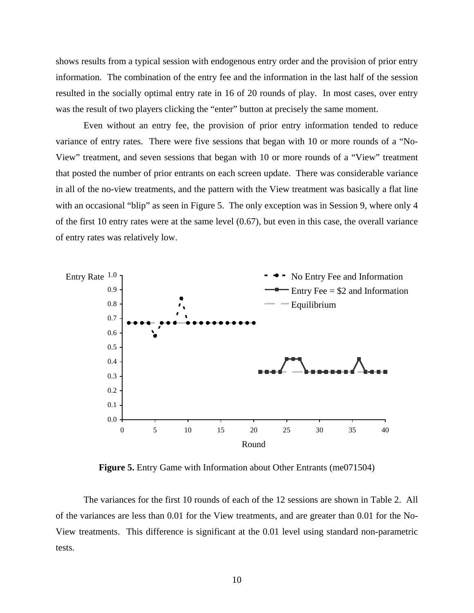shows results from a typical session with endogenous entry order and the provision of prior entry information. The combination of the entry fee and the information in the last half of the session resulted in the socially optimal entry rate in 16 of 20 rounds of play. In most cases, over entry was the result of two players clicking the "enter" button at precisely the same moment.

Even without an entry fee, the provision of prior entry information tended to reduce variance of entry rates. There were five sessions that began with 10 or more rounds of a "No-View" treatment, and seven sessions that began with 10 or more rounds of a "View" treatment that posted the number of prior entrants on each screen update. There was considerable variance in all of the no-view treatments, and the pattern with the View treatment was basically a flat line with an occasional "blip" as seen in Figure 5. The only exception was in Session 9, where only 4 of the first 10 entry rates were at the same level (0.67), but even in this case, the overall variance of entry rates was relatively low.



**Figure 5.** Entry Game with Information about Other Entrants (me071504)

The variances for the first 10 rounds of each of the 12 sessions are shown in Table 2. All of the variances are less than 0.01 for the View treatments, and are greater than 0.01 for the No-View treatments. This difference is significant at the 0.01 level using standard non-parametric tests.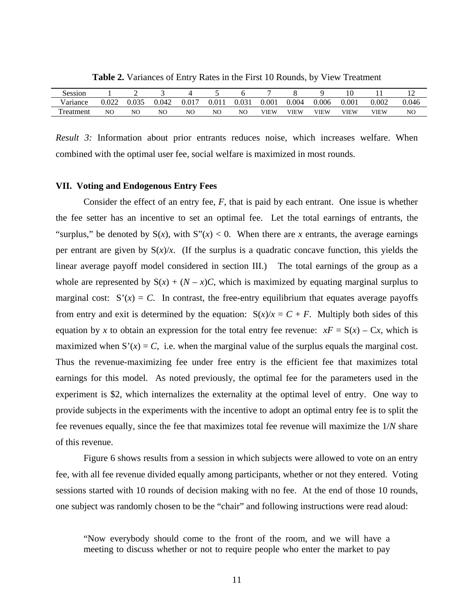| r<br>Session |       | -  |       |       |      |                |       |             |             |             |       | ∸              |
|--------------|-------|----|-------|-------|------|----------------|-------|-------------|-------------|-------------|-------|----------------|
| Variance     | 0.022 |    | 0.042 | 0.017 | 0.01 | 0.031          | 0.001 | 0.004       | 0.006       | 0.001       | 0.002 | 0.046          |
| 'reatment    | NO    | NO | NO    | NO    | NC   | N <sub>O</sub> | VIEW  | <b>VIEW</b> | <b>VIEW</b> | <b>VIEW</b> | VIEW  | N <sub>O</sub> |

**Table 2.** Variances of Entry Rates in the First 10 Rounds, by View Treatment

*Result 3:* Information about prior entrants reduces noise, which increases welfare. When combined with the optimal user fee, social welfare is maximized in most rounds.

#### **VII. Voting and Endogenous Entry Fees**

 Consider the effect of an entry fee, *F*, that is paid by each entrant. One issue is whether the fee setter has an incentive to set an optimal fee. Let the total earnings of entrants, the "surplus," be denoted by  $S(x)$ , with  $S''(x) < 0$ . When there are *x* entrants, the average earnings per entrant are given by  $S(x)/x$ . (If the surplus is a quadratic concave function, this yields the linear average payoff model considered in section III.) The total earnings of the group as a whole are represented by  $S(x) + (N - x)C$ , which is maximized by equating marginal surplus to marginal cost:  $S'(x) = C$ . In contrast, the free-entry equilibrium that equates average payoffs from entry and exit is determined by the equation:  $S(x)/x = C + F$ . Multiply both sides of this equation by *x* to obtain an expression for the total entry fee revenue:  $xF = S(x) - Cx$ , which is maximized when  $S'(x) = C$ , i.e. when the marginal value of the surplus equals the marginal cost. Thus the revenue-maximizing fee under free entry is the efficient fee that maximizes total earnings for this model. As noted previously, the optimal fee for the parameters used in the experiment is \$2, which internalizes the externality at the optimal level of entry. One way to provide subjects in the experiments with the incentive to adopt an optimal entry fee is to split the fee revenues equally, since the fee that maximizes total fee revenue will maximize the 1/*N* share of this revenue.

 Figure 6 shows results from a session in which subjects were allowed to vote on an entry fee, with all fee revenue divided equally among participants, whether or not they entered. Voting sessions started with 10 rounds of decision making with no fee. At the end of those 10 rounds, one subject was randomly chosen to be the "chair" and following instructions were read aloud:

<sup>&</sup>quot;Now everybody should come to the front of the room, and we will have a meeting to discuss whether or not to require people who enter the market to pay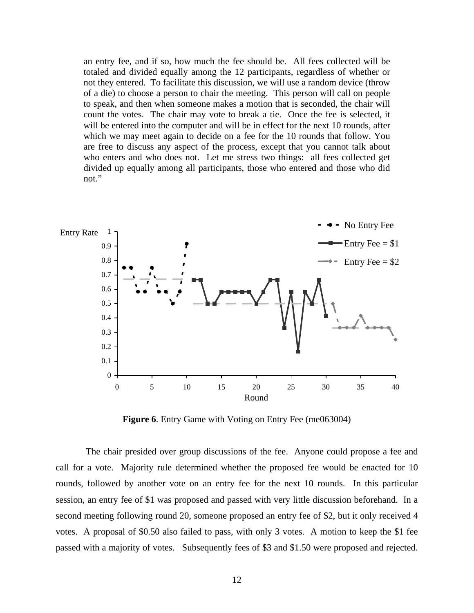an entry fee, and if so, how much the fee should be. All fees collected will be totaled and divided equally among the 12 participants, regardless of whether or not they entered. To facilitate this discussion, we will use a random device (throw of a die) to choose a person to chair the meeting. This person will call on people to speak, and then when someone makes a motion that is seconded, the chair will count the votes. The chair may vote to break a tie. Once the fee is selected, it will be entered into the computer and will be in effect for the next 10 rounds, after which we may meet again to decide on a fee for the 10 rounds that follow. You are free to discuss any aspect of the process, except that you cannot talk about who enters and who does not. Let me stress two things: all fees collected get divided up equally among all participants, those who entered and those who did not."



**Figure 6**. Entry Game with Voting on Entry Fee (me063004)

 The chair presided over group discussions of the fee. Anyone could propose a fee and call for a vote. Majority rule determined whether the proposed fee would be enacted for 10 rounds, followed by another vote on an entry fee for the next 10 rounds. In this particular session, an entry fee of \$1 was proposed and passed with very little discussion beforehand. In a second meeting following round 20, someone proposed an entry fee of \$2, but it only received 4 votes. A proposal of \$0.50 also failed to pass, with only 3 votes. A motion to keep the \$1 fee passed with a majority of votes. Subsequently fees of \$3 and \$1.50 were proposed and rejected.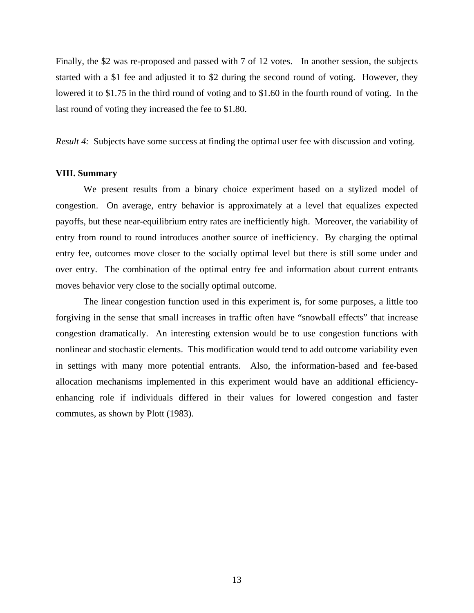Finally, the \$2 was re-proposed and passed with 7 of 12 votes. In another session, the subjects started with a \$1 fee and adjusted it to \$2 during the second round of voting. However, they lowered it to \$1.75 in the third round of voting and to \$1.60 in the fourth round of voting. In the last round of voting they increased the fee to \$1.80.

*Result 4:* Subjects have some success at finding the optimal user fee with discussion and voting.

### **VIII. Summary**

We present results from a binary choice experiment based on a stylized model of congestion. On average, entry behavior is approximately at a level that equalizes expected payoffs, but these near-equilibrium entry rates are inefficiently high. Moreover, the variability of entry from round to round introduces another source of inefficiency. By charging the optimal entry fee, outcomes move closer to the socially optimal level but there is still some under and over entry. The combination of the optimal entry fee and information about current entrants moves behavior very close to the socially optimal outcome.

The linear congestion function used in this experiment is, for some purposes, a little too forgiving in the sense that small increases in traffic often have "snowball effects" that increase congestion dramatically. An interesting extension would be to use congestion functions with nonlinear and stochastic elements. This modification would tend to add outcome variability even in settings with many more potential entrants. Also, the information-based and fee-based allocation mechanisms implemented in this experiment would have an additional efficiencyenhancing role if individuals differed in their values for lowered congestion and faster commutes, as shown by Plott (1983).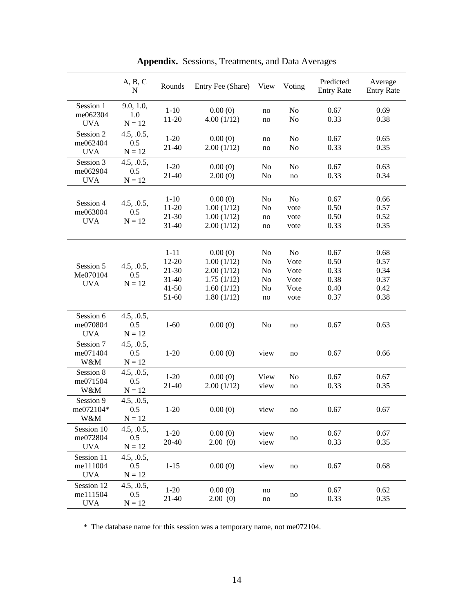|                                      | A, B, C<br>$\mathbf N$               | Rounds                                                            | Entry Fee (Share)                                                             | View                             | Voting                                     | Predicted<br><b>Entry Rate</b>               | Average<br><b>Entry Rate</b>                 |
|--------------------------------------|--------------------------------------|-------------------------------------------------------------------|-------------------------------------------------------------------------------|----------------------------------|--------------------------------------------|----------------------------------------------|----------------------------------------------|
| Session 1<br>me062304<br><b>UVA</b>  | 9.0, 1.0,<br>1.0<br>$N = 12$         | $1 - 10$<br>$11 - 20$                                             | 0.00(0)<br>4.00(1/12)                                                         | no<br>no                         | No<br>N <sub>0</sub>                       | 0.67<br>0.33                                 | 0.69<br>0.38                                 |
| Session 2<br>me062404<br><b>UVA</b>  | 4.5, .0.5,<br>0.5<br>$N = 12$        | $1-20$<br>21-40                                                   | 0.00(0)<br>2.00(1/12)                                                         | no<br>no                         | No<br>No                                   | 0.67<br>0.33                                 | 0.65<br>0.35                                 |
| Session 3<br>me062904<br><b>UVA</b>  | 4.5, .0.5,<br>0.5<br>$N = 12$        | $1-20$<br>21-40                                                   | 0.00(0)<br>2.00(0)                                                            | No<br>No                         | No<br>no                                   | 0.67<br>0.33                                 | 0.63<br>0.34                                 |
| Session 4<br>me063004<br><b>UVA</b>  | 4.5, .0.5,<br>0.5<br>$N = 12$        | $1 - 10$<br>11-20<br>$21 - 30$<br>31-40                           | 0.00(0)<br>1.00(1/12)<br>1.00(1/12)<br>2.00(1/12)                             | No<br>No<br>no<br>no             | No<br>vote<br>vote<br>vote                 | 0.67<br>0.50<br>0.50<br>0.33                 | 0.66<br>0.57<br>0.52<br>0.35                 |
| Session 5<br>Me070104<br><b>UVA</b>  | 4.5, .0.5,<br>0.5<br>$N = 12$        | $1 - 11$<br>$12 - 20$<br>21-30<br>$31 - 40$<br>$41 - 50$<br>51-60 | 0.00(0)<br>1.00(1/12)<br>2.00(1/12)<br>1.75(1/12)<br>1.60(1/12)<br>1.80(1/12) | No<br>No<br>No<br>No<br>No<br>no | No<br>Vote<br>Vote<br>Vote<br>Vote<br>vote | 0.67<br>0.50<br>0.33<br>0.38<br>0.40<br>0.37 | 0.68<br>0.57<br>0.34<br>0.37<br>0.42<br>0.38 |
| Session 6<br>me070804<br><b>UVA</b>  | 4.5, .0.5,<br>0.5<br>$N = 12$        | $1 - 60$                                                          | 0.00(0)                                                                       | No                               | no                                         | 0.67                                         | 0.63                                         |
| Session 7<br>me071404<br>W&M         | 4.5, .0.5,<br>0.5<br>$N = 12$        | $1 - 20$                                                          | 0.00(0)                                                                       | view                             | no                                         | 0.67                                         | 0.66                                         |
| Session 8<br>me071504<br>W&M         | 4.5, .0.5,<br>0.5<br>$N = 12$        | $1 - 20$<br>21-40                                                 | 0.00(0)<br>2.00(1/12)                                                         | View<br>view                     | N <sub>o</sub><br>no                       | 0.67<br>0.33                                 | 0.67<br>0.35                                 |
| Session 9<br>me072104*<br>W&M        | 4.5, .0.5,<br>0.5<br>$\mathbf{N}=12$ | $1 - 20$                                                          | 0.00(0)                                                                       | view                             | no                                         | 0.67                                         | 0.67                                         |
| Session 10<br>me072804<br><b>UVA</b> | 4.5, .0.5,<br>0.5<br>$N = 12$        | $1-20$<br>20-40                                                   | 0.00(0)<br>2.00(0)                                                            | view<br>view                     | no                                         | 0.67<br>0.33                                 | 0.67<br>0.35                                 |
| Session 11<br>me111004<br><b>UVA</b> | 4.5, .0.5,<br>0.5<br>$N = 12$        | $1 - 15$                                                          | 0.00(0)                                                                       | view                             | no                                         | 0.67                                         | 0.68                                         |
| Session 12<br>me111504<br><b>UVA</b> | 4.5, .0.5,<br>0.5<br>$N = 12$        | $1-20$<br>21-40                                                   | 0.00(0)<br>2.00(0)                                                            | no<br>no                         | no                                         | 0.67<br>0.33                                 | 0.62<br>0.35                                 |

**Appendix.** Sessions, Treatments, and Data Averages

\* The database name for this session was a temporary name, not me072104.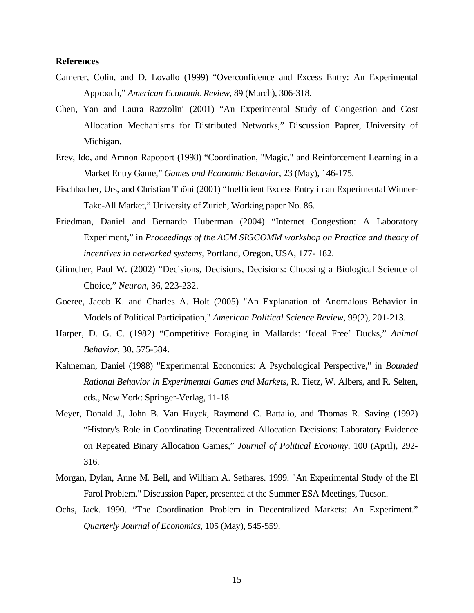## **References**

- Camerer, Colin, and D. Lovallo (1999) "Overconfidence and Excess Entry: An Experimental Approach," *American Economic Review*, 89 (March), 306-318.
- Chen, Yan and Laura Razzolini (2001) "An Experimental Study of Congestion and Cost Allocation Mechanisms for Distributed Networks," Discussion Paprer, University of Michigan.
- Erev, Ido, and Amnon Rapoport (1998) "Coordination, "Magic," and Reinforcement Learning in a Market Entry Game," *Games and Economic Behavior,* 23 (May), 146-175.
- Fischbacher, Urs, and Christian Thöni (2001) "Inefficient Excess Entry in an Experimental Winner-Take-All Market," University of Zurich, Working paper No. 86.
- Friedman, Daniel and Bernardo Huberman (2004) "Internet Congestion: A Laboratory Experiment," in *Proceedings of the ACM SIGCOMM workshop on Practice and theory of incentives in networked systems*, Portland, Oregon, USA, 177- 182.
- Glimcher, Paul W. (2002) "Decisions, Decisions, Decisions: Choosing a Biological Science of Choice," *Neuron*, 36, 223-232.
- Goeree, Jacob K. and Charles A. Holt (2005) "An Explanation of Anomalous Behavior in Models of Political Participation," *American Political Science Review*, 99(2), 201-213.
- Harper, D. G. C. (1982) "Competitive Foraging in Mallards: 'Ideal Free' Ducks," *Animal Behavior*, 30, 575-584.
- Kahneman, Daniel (1988) "Experimental Economics: A Psychological Perspective," in *Bounded Rational Behavior in Experimental Games and Markets*, R. Tietz, W. Albers, and R. Selten, eds., New York: Springer-Verlag, 11-18.
- Meyer, Donald J., John B. Van Huyck, Raymond C. Battalio, and Thomas R. Saving (1992) "History's Role in Coordinating Decentralized Allocation Decisions: Laboratory Evidence on Repeated Binary Allocation Games," *Journal of Political Economy,* 100 (April), 292- 316.
- Morgan, Dylan, Anne M. Bell, and William A. Sethares. 1999. "An Experimental Study of the El Farol Problem." Discussion Paper, presented at the Summer ESA Meetings, Tucson.
- Ochs, Jack. 1990. "The Coordination Problem in Decentralized Markets: An Experiment." *Quarterly Journal of Economics*, 105 (May), 545-559.